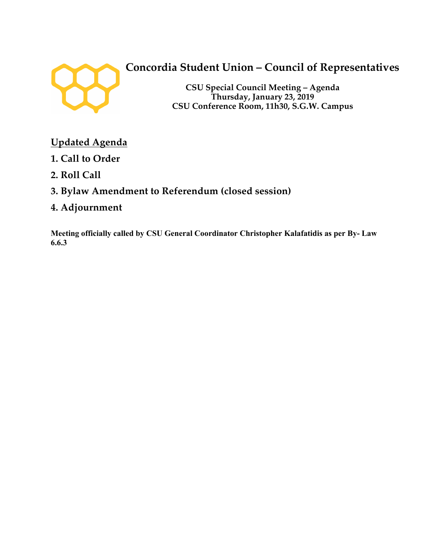

# **Concordia Student Union – Council of Representatives**

**CSU Special Council Meeting – Agenda Thursday, January 23, 2019 CSU Conference Room, 11h30, S.G.W. Campus**

## **Updated Agenda**

- **1. Call to Order**
- **2. Roll Call**
- **3. Bylaw Amendment to Referendum (closed session)**
- **4. Adjournment**

**Meeting officially called by CSU General Coordinator Christopher Kalafatidis as per By- Law 6.6.3**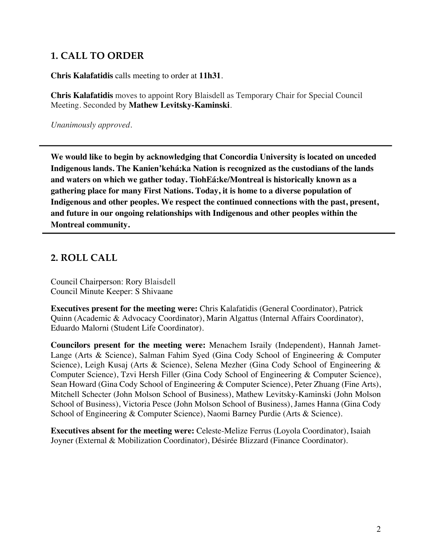### **1. CALL TO ORDER**

**Chris Kalafatidis** calls meeting to order at **11h31**.

**Chris Kalafatidis** moves to appoint Rory Blaisdell as Temporary Chair for Special Council Meeting. Seconded by **Mathew Levitsky-Kaminski**.

*Unanimously approved.*

**We would like to begin by acknowledging that Concordia University is located on unceded Indigenous lands. The Kanien'kehá:ka Nation is recognized as the custodians of the lands and waters on which we gather today. TiohEá:ke/Montreal is historically known as a gathering place for many First Nations. Today, it is home to a diverse population of Indigenous and other peoples. We respect the continued connections with the past, present, and future in our ongoing relationships with Indigenous and other peoples within the Montreal community.**

### **2. ROLL CALL**

Council Chairperson: Rory Blaisdell Council Minute Keeper: S Shivaane

**Executives present for the meeting were:** Chris Kalafatidis (General Coordinator), Patrick Quinn (Academic & Advocacy Coordinator), Marin Algattus (Internal Affairs Coordinator), Eduardo Malorni (Student Life Coordinator).

**Councilors present for the meeting were:** Menachem Israily (Independent), Hannah Jamet-Lange (Arts & Science), Salman Fahim Syed (Gina Cody School of Engineering & Computer Science), Leigh Kusaj (Arts & Science), Selena Mezher (Gina Cody School of Engineering & Computer Science), Tzvi Hersh Filler (Gina Cody School of Engineering & Computer Science), Sean Howard (Gina Cody School of Engineering & Computer Science), Peter Zhuang (Fine Arts), Mitchell Schecter (John Molson School of Business), Mathew Levitsky-Kaminski (John Molson School of Business), Victoria Pesce (John Molson School of Business), James Hanna (Gina Cody School of Engineering & Computer Science), Naomi Barney Purdie (Arts & Science).

**Executives absent for the meeting were:** Celeste-Melize Ferrus (Loyola Coordinator), Isaiah Joyner (External & Mobilization Coordinator), Désirée Blizzard (Finance Coordinator).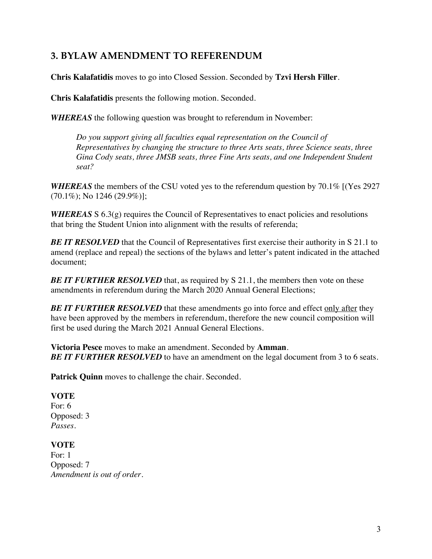### **3. BYLAW AMENDMENT TO REFERENDUM**

**Chris Kalafatidis** moves to go into Closed Session. Seconded by **Tzvi Hersh Filler**.

**Chris Kalafatidis** presents the following motion. Seconded.

*WHEREAS* the following question was brought to referendum in November:

*Do you support giving all faculties equal representation on the Council of Representatives by changing the structure to three Arts seats, three Science seats, three Gina Cody seats, three JMSB seats, three Fine Arts seats, and one Independent Student seat?*

*WHEREAS* the members of the CSU voted yes to the referendum question by 70.1% [(Yes 2927  $(70.1\%)$ ; No 1246 (29.9%)];

*WHEREAS* S 6.3(g) requires the Council of Representatives to enact policies and resolutions that bring the Student Union into alignment with the results of referenda;

**BE IT RESOLVED** that the Council of Representatives first exercise their authority in S 21.1 to amend (replace and repeal) the sections of the bylaws and letter's patent indicated in the attached document;

*BE IT FURTHER RESOLVED* that, as required by S 21.1, the members then vote on these amendments in referendum during the March 2020 Annual General Elections;

**BE IT FURTHER RESOLVED** that these amendments go into force and effect only after they have been approved by the members in referendum, therefore the new council composition will first be used during the March 2021 Annual General Elections.

**Victoria Pesce** moves to make an amendment. Seconded by **Amman**. *BE IT FURTHER RESOLVED* to have an amendment on the legal document from 3 to 6 seats.

Patrick Quinn moves to challenge the chair. Seconded.

#### **VOTE**

For: 6 Opposed: 3 *Passes.* 

#### **VOTE**

For: 1 Opposed: 7 *Amendment is out of order.*